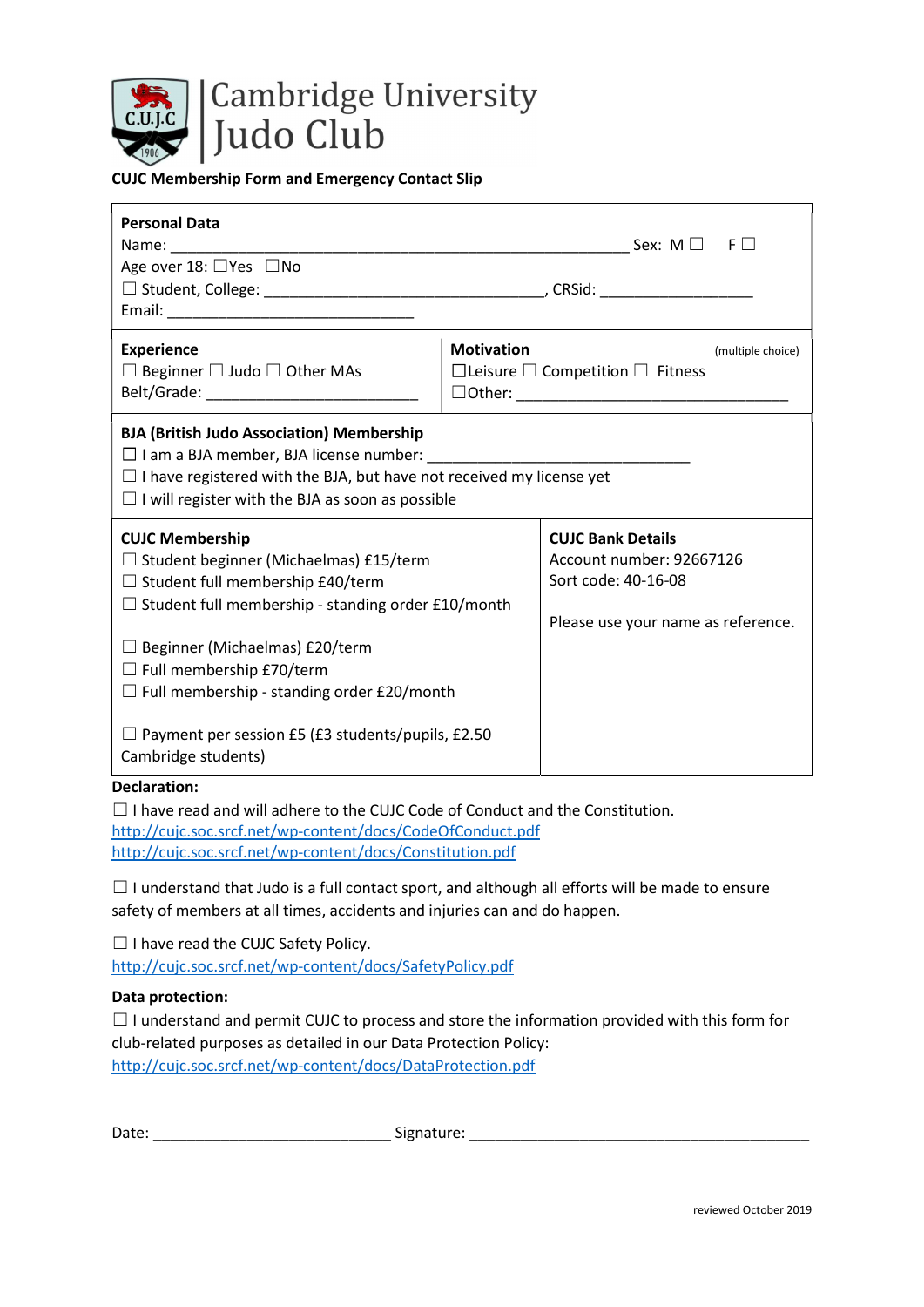

## CUJC Membership Form and Emergency Contact Slip

| <b>Personal Data</b><br>Name: Name<br>Age over 18: □Yes □No                                                                                                                                                                                                                                                      | Sex: M $\Box$ F $\Box$                                                                                            |  |  |
|------------------------------------------------------------------------------------------------------------------------------------------------------------------------------------------------------------------------------------------------------------------------------------------------------------------|-------------------------------------------------------------------------------------------------------------------|--|--|
| <b>Experience</b><br>$\Box$ Beginner $\Box$ Judo $\Box$ Other MAs<br>Belt/Grade: __________________________________                                                                                                                                                                                              | <b>Motivation</b><br>(multiple choice)<br>$\Box$ Leisure $\Box$ Competition $\Box$ Fitness                        |  |  |
| <b>BJA (British Judo Association) Membership</b><br>$\Box$ I have registered with the BJA, but have not received my license yet<br>$\Box$ I will register with the BJA as soon as possible                                                                                                                       |                                                                                                                   |  |  |
| <b>CUJC Membership</b><br>$\Box$ Student beginner (Michaelmas) £15/term<br>$\Box$ Student full membership £40/term<br>$\Box$ Student full membership - standing order £10/month<br>$\Box$ Beginner (Michaelmas) £20/term<br>$\Box$ Full membership £70/term<br>$\Box$ Full membership - standing order £20/month | <b>CUJC Bank Details</b><br>Account number: 92667126<br>Sort code: 40-16-08<br>Please use your name as reference. |  |  |
| $\Box$ Payment per session £5 (£3 students/pupils, £2.50<br>Cambridge students)                                                                                                                                                                                                                                  |                                                                                                                   |  |  |

## Declaration:

□ I have read and will adhere to the CUJC Code of Conduct and the Constitution. http://cujc.soc.srcf.net/wp-content/docs/CodeOfConduct.pdf http://cujc.soc.srcf.net/wp-content/docs/Constitution.pdf

 $\Box$  I understand that Judo is a full contact sport, and although all efforts will be made to ensure safety of members at all times, accidents and injuries can and do happen.

☐ I have read the CUJC Safety Policy.

http://cujc.soc.srcf.net/wp-content/docs/SafetyPolicy.pdf

## Data protection:

| $\Box$ I understand and permit CUJC to process and store the information provided with this form for |
|------------------------------------------------------------------------------------------------------|
| club-related purposes as detailed in our Data Protection Policy:                                     |
| http://cujc.soc.srcf.net/wp-content/docs/DataProtection.pdf                                          |

| Date:<br>Signature: |
|---------------------|
|---------------------|